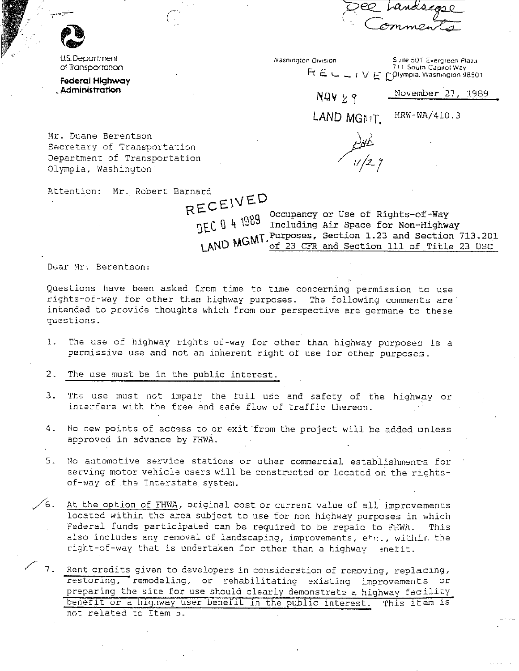rex nundscape

U.S. Department of Transportation

Federal Highway Administration

**Vashington Division** Suite 501 Evergreen Plaza 711 South Capitol Way  $R E \subseteq L \cup V$  E polympia, Washington 98501

 $NQVY9$ 

November 27, 1989

LAND MGMT. HRW-WA/410.3

Mr. Duane Berentson Secretary of Transportation Department of Transportation Olympia, Washington

Attention: Mr. Robert Barnard

RECEIVED

 $DEC$  0 4 1989 Occupancy or Use of Rights-of-Way<br>DEC 0 4 1989 Including Air Space for Non-Highway LAND MGMT. Purposes, Section 1.23 and Section 713.201 of 23 CFR and Section 111 of Title 23 USC

Dear Mr. Berentson:

Questions have been asked from time to time concerning permission to use rights-of-way for other than highway purposes. The following comments are intended to provide thoughts which from our perspective are germane to these questions.

The use of highway rights-of-way for other than highway purposes is a  $1.$ permissive use and not an inherent right of use for other purposes.

2. The use must be in the public interest.

- $3.1$ The use must not impair the full use and safety of the highway or interfere with the free and safe flow of traffic thereon.
- 4. No new points of access to or exit from the project will be added unless approved in advance by FHWA.
- $5.$ No automotive service stations or other commercial establishments for serving motor vehicle users will be constructed or located on the rightsof-way of the Interstate system.
- $\sqrt{6}$ . At the option of FHWA, original cost or current value of all improvements located within the area subject to use for non-highway purposes in which Federal funds participated can be required to be repaid to FHWA. This also includes any removal of landscaping, improvements, etc., within the right-of-way that is undertaken for other than a highway enefit.
- $\sim$  7. Rent credits given to developers in consideration of removing, replacing, restoring, remodeling, or rehabilitating existing improvements or preparing the site for use should clearly demonstrate a highway facility benefit or a highway user benefit in the public interest. This item is not related to Item 5.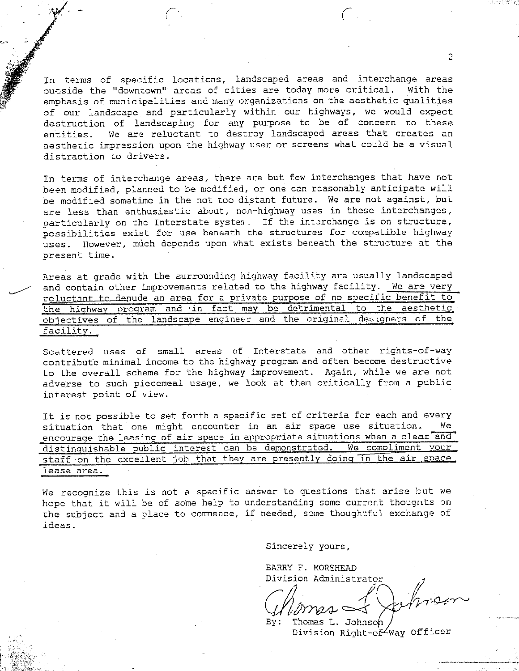In terms of specific locations, landscaped areas and interchange areas<br>outside the "downtown" areas of cities are today more critical. With the outside the "downtown" areas of cities are today more critical. emphasis of municipalities and many organizations on the aesthetic qualities of our landscape and particularly within our highways, we would expect destruction of landscaping for any purpose to be of concern to these entities. We are reluctant to destroy landscaped areas that creates an aesthetic impression upon the highway user or screens what could be a visual distraction to drivers.

In terms of interchange areas, there are but few interchanges that have not been modified, planned to be modified, or one can reasonably anticipate will be modified sometime in the not too distant future. We are not against, but are less than enthusiastic about, non-highway uses in these interchanges, particularly on the Interstate system. If the interchange is on structure, possibilities exist for use beneath che structures for compatible highway uses. However, much depends upon what exists beneath the structure at the present time.

Areas at grade with the surrounding highway facility are usually landscaped and contain other improvements related to the highway facility. We are very reluctant ta denude an area for a private purpose of no specific benefit to the highway program and in fact may be detrimental to the aesthetic objectives of the landscape engineer and the original designers of the facility.

Scattered uses of small areas of Interstate and other rights-of-way contribute minimal income to the highway program and often become destructive to the overall scheme for the highway improvement. Again, while we are not adverse to such piecemeal usage, we look at them critically from a public interest point of view.

It is not possible to set forth a specific set of criteria for each and every<br>cituation, that one might encounter in an air space use situation. We situation that one might encounter in an air space use situation. encourage the leasing of air space in appropriate situations when a clear and distinguishable public interest can be demonstrated. We compliment your staff on the excellent job that they are presently doing in the air space. **lease area.** 

We recognize this is not a specific answer to questions that arise but we hope that it will be of some help to understanding some current thougnts on the subject and a place to commence, if needed, some thoughtful exchange of **ideas.** 

**Sincerely yours,** 

BARRY F. MOREHEAD Division Administrator

 $Chimes \leq \varphi$ hisen

Thomas L. Johnson /<br>Division Right-of-Way Officer

 $\mathfrak{D}$ 

*(*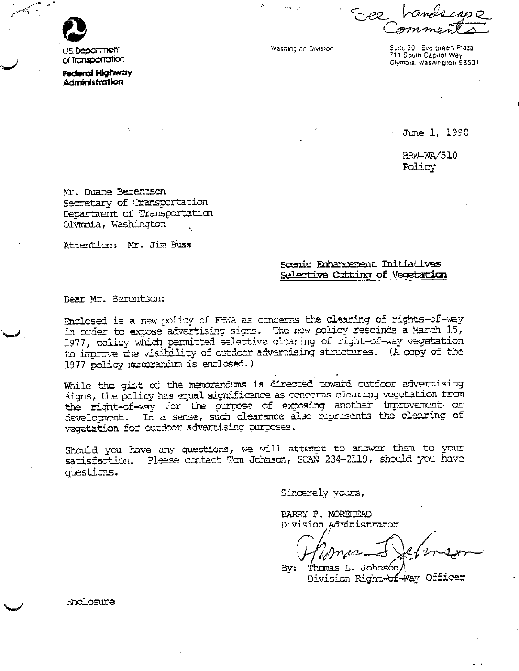

US Department of Transportation.

**Federal Highway Administration** 

**Washington Division** 

Suite 501 Evergreen Plaza 711 South Capitol Way Olympia. Washington 98501

June 1, 1990

**HRW-WA/510** Policy

Mr. Duane Berentson Secretary of Transportation Department of Transportation Olympia, Washington

Attention: Mr. Jim Buss

## Scenic Enhancement Initiatives Selective Cutting of Vegetation

Dear Mr. Berentson:

Enclosed is a new policy of FEVA as concerns the clearing of rights-of-wav in order to expose advertising signs. The new policy rescinds a March 15, 1977, policy which permitted selective clearing of right-of-way vegetation to improve the visibility of outdoor advertising structures. (A copy of the 1977 policy memorandum is enclosed.)

While the gist of the memorandums is directed toward outdoor advertising signs, the policy has equal significance as concerns clearing vegetation from the right-of-way for the purpose of exposing another improvement or development. In a sense, such clearance also represents the clearing of vegetation for outdoor advertising purposes.

Should you have any questions, we will attempt to answer them to your satisfaction. Please contact Tom Johnson, SCAN 234-2119, should you have questions.

Sincerely yours,

BARRY F. MOREHEAD Division Administrator

By: Thomas L. Johnsón, Division Right-of-Way Officer

Enclosure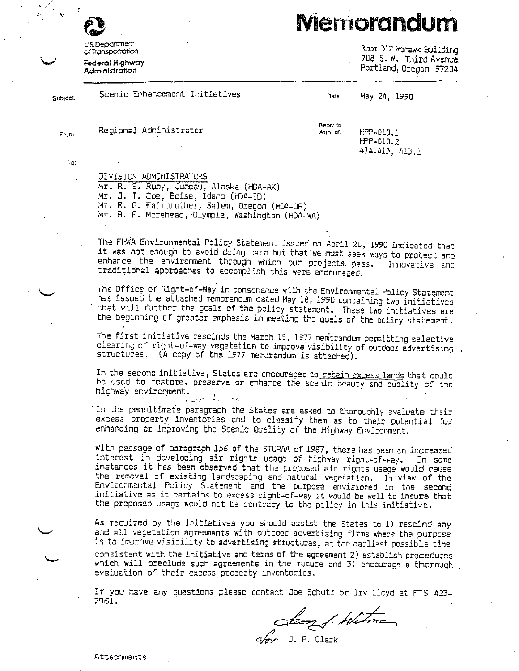## **Memorandum**

**HS Department** or Transportation

**Federal Highway** Administration

Room 312 Hohawk Building 708 S. W. Third Avenue Portland, Oregon 97204

| Subject:        | Scenic Enhancement Initiatives | Date:                 | May 24, 1990                 |
|-----------------|--------------------------------|-----------------------|------------------------------|
| From:<br>$\sim$ | Regional Administrator         | Reply to<br>Atin. of. | $HPP - 010.1$<br>$HPP-010.2$ |
| To:             | $\ddot{\phantom{1}}$           |                       | 414.413, 413.1               |
| ÷               | OIVISION ADMINISTRATORS        |                       | ٠                            |

Mr. R. E. Ruby, Juneau, Alaska (HDA-AK) Mr. J. T. Coe, Boise, Idaho (HDA-ID) Mr. R. G. Fairbrother, Salem, Oregon (HDA-OR) Mr. B. F. Morehead, Olympia, Washington (HDA-WA)

The FHWA Environmental Policy Statement issued on April 20, 1990 indicated that it was not enough to avoid doing harm but that we must seek ways to protect and enhance the environment through which our projects pass. Innovative and traditional approaches to accomplish this were encouraged.

The Office of Right-of-Way in consonance with the Environmental Policy Statement has issued the attached memorandum dated May 18, 1990 containing two initiatives that will further the goals of the policy statement. These two initiatives are the beginning of greater emphasis in meeting the goals of the policy statement.

The first initiative rescinds the March 15, 1977 memorandum permitting selective clearing of right-of-way vegetation to improve visibility of outdoor advertising. structures. (A copy of the 1977 memorandum is attached).

In the second initiative, States are encouraged to retain excess lands that could be used to restore, preserve or enhance the scenic beauty and quality of the highway environment. الدوار المؤدي الموالي

In the penultimate paragraph the States are asked to thoroughly evaluate their excess property inventories and to classify them as to their potential for enhancing or improving the Scenic Quality of the Highway Environment.

With passage of paragraph 156 of the STURAA of 1987, there has been an increased interest in developing air rights usage of highway right-of-way. In some instances it has been observed that the proposed air rights usage would cause the removal of existing landscaping and natural vegetation. In view of the Environmental Policy Statement and the purpose envisioned in the second initiative as it pertains to excess right-of-way it would be well to insure that the proposed usage would not be contrary to the policy in this initiative.

As required by the initiatives you should assist the States to 1) rescind any and all vegetation agreements with outdoor advertising firms where the purpose is to improve visibility to advertising structures, at the earliest possible time consistent with the initiative and terms of the agreement 2) establish procedures which will preclude such agreements in the future and 3) encourage a thorough. evaluation of their excess property inventories.

If you have any questions please contact Joe Schutz or Irv Lloyd at FTS 423-2061.

Jeon f. Witman

Attachments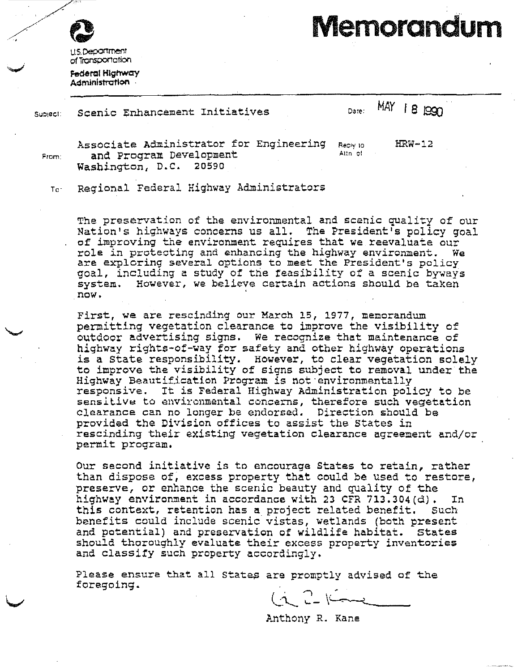

**IIS Department** of Transportation

Federal Highway Administration

Memorandum

Scenic Enhancement Initiatives Subject:

## MAY 18 1990 Date:

From:

Associate Administrator for Engineering and Program Development Washington, D.C. 20590

Reply to: Altn of

 $HRW-12$ 

Regional Federal Highway Administrators  $To^-$ 

The preservation of the environmental and scenic quality of our Nation's highways concerns us all. The President's policy goal of improving the environment requires that we reevaluate our role in protecting and enhancing the highway environment. We are exploring several options to meet the President's policy goal, including a study of the feasibility of a scenic byways system. However, we believe certain actions should be taken now.

First, we are rescinding our March 15, 1977, memorandum permitting vegetation clearance to improve the visibility of outdoor advertising signs. We recognize that maintenance of highway rights-of-way for safety and other highway operations is a State responsibility. However, to clear vegetation solely to improve the visibility of signs subject to removal under the Highway Beautification Program is not environmentally responsive. It is Federal Highway Administration policy to be sensitive to environmental concerns, therefore such vegetation clearance can no longer be endorsed. Direction should be provided the Division offices to assist the States in rescinding their existing vegetation clearance agreement and/or permit program.

Our second initiative is to encourage States to retain, rather than dispose of, excess property that could be used to restore, preserve, or enhance the scenic beauty and quality of the highway environment in accordance with 23 CFR 713.304(d). In this context, retention has a project related benefit. Such benefits could include scenic vistas, wetlands (both present and potential) and preservation of wildlife habitat. States should thoroughly evaluate their excess property inventories and classify such property accordingly.

Please ensure that all States are promptly advised of the foregoing.

 $\frac{1}{2}$   $\frac{1}{2}$  $\overline{\phantom{a}}$ 

Anthony R. Kane